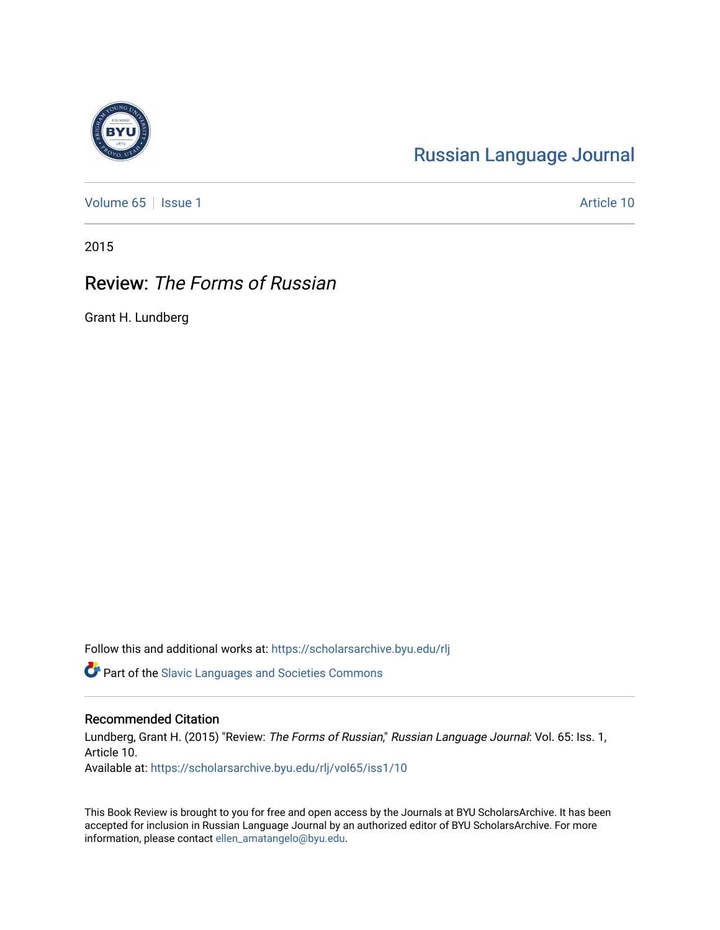## [Russian Language Journal](https://scholarsarchive.byu.edu/rlj)

[Volume 65](https://scholarsarchive.byu.edu/rlj/vol65) | [Issue 1](https://scholarsarchive.byu.edu/rlj/vol65/iss1) Article 10

2015

## Review: The Forms of Russian

Grant H. Lundberg

Follow this and additional works at: [https://scholarsarchive.byu.edu/rlj](https://scholarsarchive.byu.edu/rlj?utm_source=scholarsarchive.byu.edu%2Frlj%2Fvol65%2Fiss1%2F10&utm_medium=PDF&utm_campaign=PDFCoverPages)

**P** Part of the Slavic Languages and Societies Commons

## Recommended Citation

Lundberg, Grant H. (2015) "Review: The Forms of Russian," Russian Language Journal: Vol. 65: Iss. 1, Article 10. Available at: [https://scholarsarchive.byu.edu/rlj/vol65/iss1/10](https://scholarsarchive.byu.edu/rlj/vol65/iss1/10?utm_source=scholarsarchive.byu.edu%2Frlj%2Fvol65%2Fiss1%2F10&utm_medium=PDF&utm_campaign=PDFCoverPages)

This Book Review is brought to you for free and open access by the Journals at BYU ScholarsArchive. It has been accepted for inclusion in Russian Language Journal by an authorized editor of BYU ScholarsArchive. For more information, please contact [ellen\\_amatangelo@byu.edu.](mailto:ellen_amatangelo@byu.edu)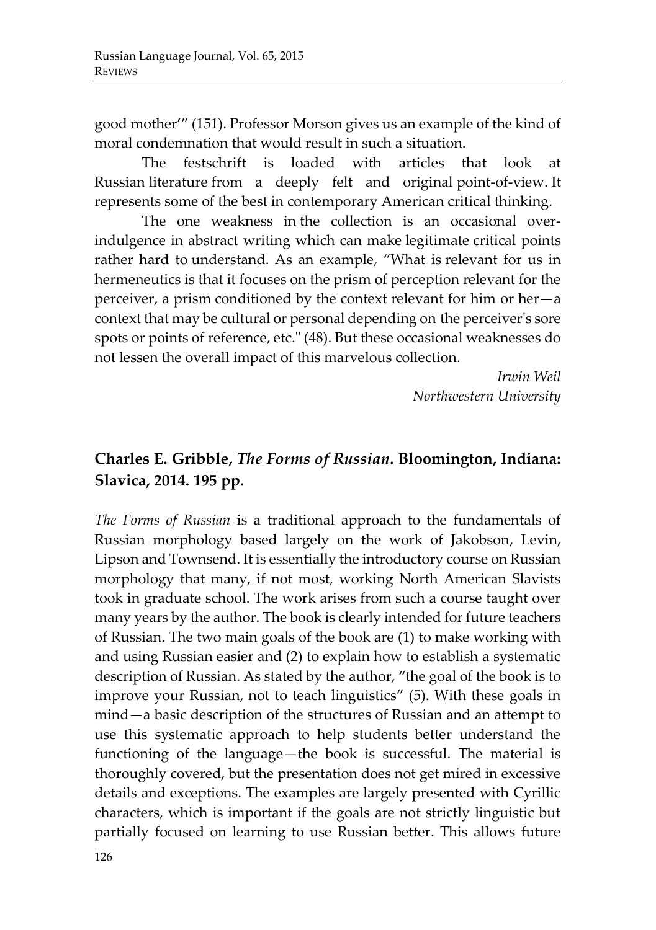good mother'" (151). Professor Morson gives us an example of the kind of moral condemnation that would result in such a situation.

The festschrift is loaded with articles that look at Russian literature from a deeply felt and original point-of-view. It represents some of the best in contemporary American critical thinking.

The one weakness in the collection is an occasional overindulgence in abstract writing which can make legitimate critical points rather hard to understand. As an example, "What is relevant for us in hermeneutics is that it focuses on the prism of perception relevant for the perceiver, a prism conditioned by the context relevant for him or her—a context that may be cultural or personal depending on the perceiver's sore spots or points of reference, etc." (48). But these occasional weaknesses do not lessen the overall impact of this marvelous collection.

> *Irwin Weil Northwestern University*

## **Charles E. Gribble,** *The Forms of Russian***. Bloomington, Indiana: Slavica, 2014. 195 pp.**

*The Forms of Russian* is a traditional approach to the fundamentals of Russian morphology based largely on the work of Jakobson, Levin, Lipson and Townsend. It is essentially the introductory course on Russian morphology that many, if not most, working North American Slavists took in graduate school. The work arises from such a course taught over many years by the author. The book is clearly intended for future teachers of Russian. The two main goals of the book are (1) to make working with and using Russian easier and (2) to explain how to establish a systematic description of Russian. As stated by the author, "the goal of the book is to improve your Russian, not to teach linguistics" (5). With these goals in mind—a basic description of the structures of Russian and an attempt to use this systematic approach to help students better understand the functioning of the language—the book is successful. The material is thoroughly covered, but the presentation does not get mired in excessive details and exceptions. The examples are largely presented with Cyrillic characters, which is important if the goals are not strictly linguistic but partially focused on learning to use Russian better. This allows future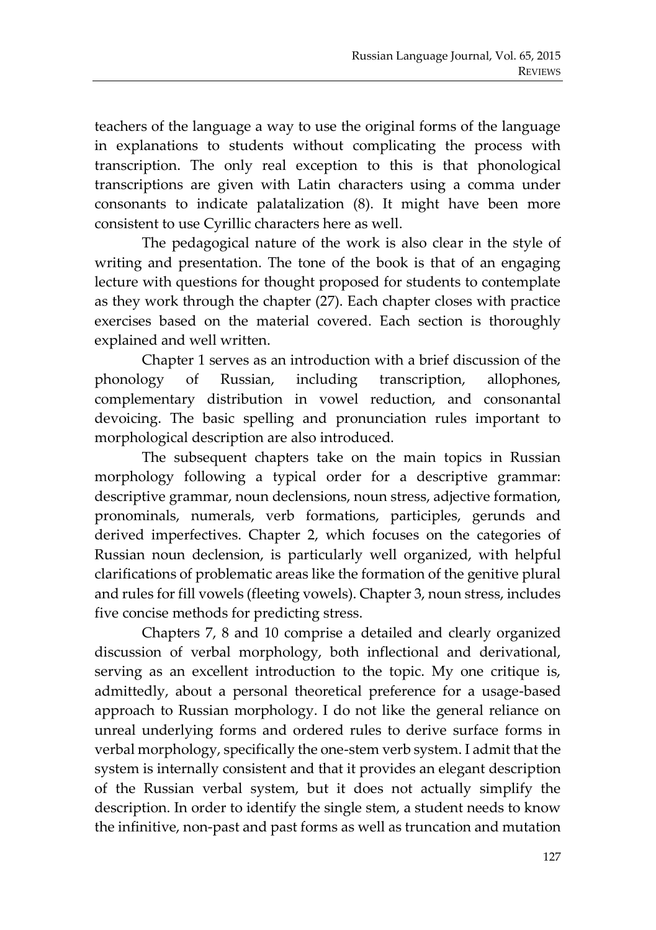teachers of the language a way to use the original forms of the language in explanations to students without complicating the process with transcription. The only real exception to this is that phonological transcriptions are given with Latin characters using a comma under consonants to indicate palatalization (8). It might have been more consistent to use Cyrillic characters here as well.

The pedagogical nature of the work is also clear in the style of writing and presentation. The tone of the book is that of an engaging lecture with questions for thought proposed for students to contemplate as they work through the chapter (27). Each chapter closes with practice exercises based on the material covered. Each section is thoroughly explained and well written.

Chapter 1 serves as an introduction with a brief discussion of the phonology of Russian, including transcription, allophones, complementary distribution in vowel reduction, and consonantal devoicing. The basic spelling and pronunciation rules important to morphological description are also introduced.

The subsequent chapters take on the main topics in Russian morphology following a typical order for a descriptive grammar: descriptive grammar, noun declensions, noun stress, adjective formation, pronominals, numerals, verb formations, participles, gerunds and derived imperfectives. Chapter 2, which focuses on the categories of Russian noun declension, is particularly well organized, with helpful clarifications of problematic areas like the formation of the genitive plural and rules for fill vowels (fleeting vowels). Chapter 3, noun stress, includes five concise methods for predicting stress.

Chapters 7, 8 and 10 comprise a detailed and clearly organized discussion of verbal morphology, both inflectional and derivational, serving as an excellent introduction to the topic. My one critique is, admittedly, about a personal theoretical preference for a usage-based approach to Russian morphology. I do not like the general reliance on unreal underlying forms and ordered rules to derive surface forms in verbal morphology, specifically the one-stem verb system. I admit that the system is internally consistent and that it provides an elegant description of the Russian verbal system, but it does not actually simplify the description. In order to identify the single stem, a student needs to know the infinitive, non-past and past forms as well as truncation and mutation